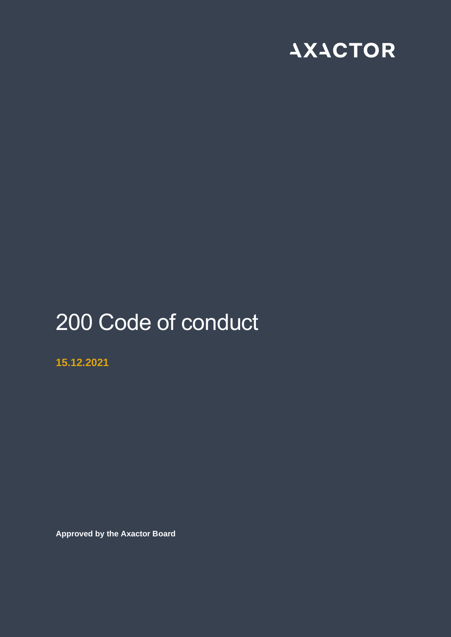

# 200 Code of conduct

**15.12.2021**

**Approved by the Axactor Board**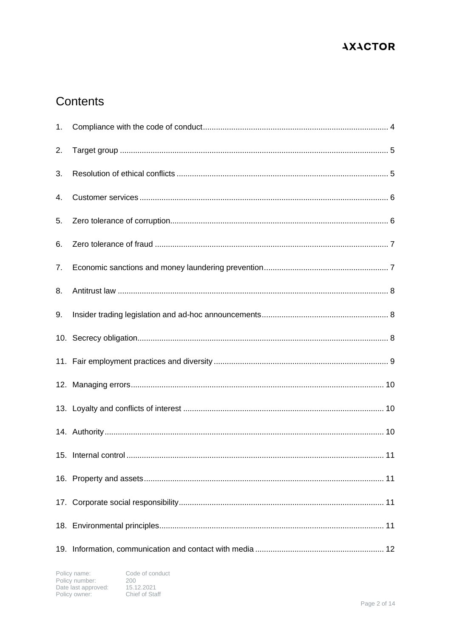## Contents

| 1. |  |
|----|--|
| 2. |  |
| 3. |  |
| 4. |  |
| 5. |  |
| 6. |  |
| 7. |  |
| 8. |  |
| 9. |  |
|    |  |
|    |  |
|    |  |
|    |  |
|    |  |
|    |  |
|    |  |
|    |  |
|    |  |
|    |  |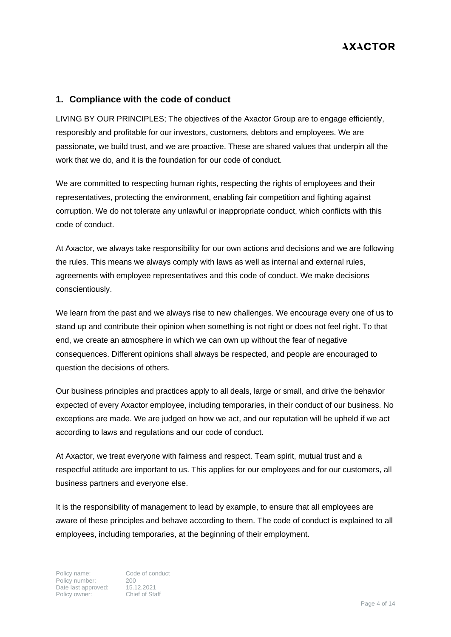#### <span id="page-3-0"></span>**1. Compliance with the code of conduct**

LIVING BY OUR PRINCIPLES; The objectives of the Axactor Group are to engage efficiently, responsibly and profitable for our investors, customers, debtors and employees. We are passionate, we build trust, and we are proactive. These are shared values that underpin all the work that we do, and it is the foundation for our code of conduct.

We are committed to respecting human rights, respecting the rights of employees and their representatives, protecting the environment, enabling fair competition and fighting against corruption. We do not tolerate any unlawful or inappropriate conduct, which conflicts with this code of conduct.

At Axactor, we always take responsibility for our own actions and decisions and we are following the rules. This means we always comply with laws as well as internal and external rules, agreements with employee representatives and this code of conduct. We make decisions conscientiously.

We learn from the past and we always rise to new challenges. We encourage every one of us to stand up and contribute their opinion when something is not right or does not feel right. To that end, we create an atmosphere in which we can own up without the fear of negative consequences. Different opinions shall always be respected, and people are encouraged to question the decisions of others.

Our business principles and practices apply to all deals, large or small, and drive the behavior expected of every Axactor employee, including temporaries, in their conduct of our business. No exceptions are made. We are judged on how we act, and our reputation will be upheld if we act according to laws and regulations and our code of conduct.

At Axactor, we treat everyone with fairness and respect. Team spirit, mutual trust and a respectful attitude are important to us. This applies for our employees and for our customers, all business partners and everyone else.

It is the responsibility of management to lead by example, to ensure that all employees are aware of these principles and behave according to them. The code of conduct is explained to all employees, including temporaries, at the beginning of their employment.

Policy name:<br>
Policy number:<br>
200 Policy number: 200<br>Date last approved: 15.12.2021 Date last approved: 15.12.2021<br>Policy owner: Chief of Staff Policy owner: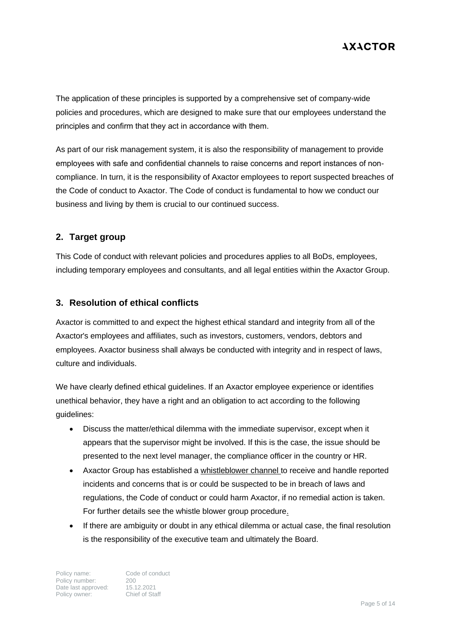The application of these principles is supported by a comprehensive set of company-wide policies and procedures, which are designed to make sure that our employees understand the principles and confirm that they act in accordance with them.

As part of our risk management system, it is also the responsibility of management to provide employees with safe and confidential channels to raise concerns and report instances of noncompliance. In turn, it is the responsibility of Axactor employees to report suspected breaches of the Code of conduct to Axactor. The Code of conduct is fundamental to how we conduct our business and living by them is crucial to our continued success.

#### <span id="page-4-0"></span>**2. Target group**

This Code of conduct with relevant policies and procedures applies to all BoDs, employees, including temporary employees and consultants, and all legal entities within the Axactor Group.

#### <span id="page-4-1"></span>**3. Resolution of ethical conflicts**

Axactor is committed to and expect the highest ethical standard and integrity from all of the Axactor's employees and affiliates, such as investors, customers, vendors, debtors and employees. Axactor business shall always be conducted with integrity and in respect of laws, culture and individuals.

We have clearly defined ethical guidelines. If an Axactor employee experience or identifies unethical behavior, they have a right and an obligation to act according to the following guidelines:

- Discuss the matter/ethical dilemma with the immediate supervisor, except when it appears that the supervisor might be involved. If this is the case, the issue should be presented to the next level manager, the compliance officer in the country or HR.
- Axactor Group has established a whistleblower channel to receive and handle reported incidents and concerns that is or could be suspected to be in breach of laws and regulations, the Code of conduct or could harm Axactor, if no remedial action is taken. For further details see the whistle blower group procedure.
- If there are ambiguity or doubt in any ethical dilemma or actual case, the final resolution is the responsibility of the executive team and ultimately the Board.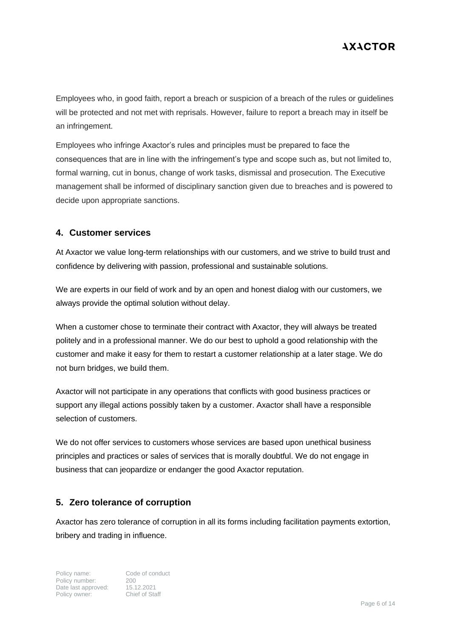Employees who, in good faith, report a breach or suspicion of a breach of the rules or guidelines will be protected and not met with reprisals. However, failure to report a breach may in itself be an infringement.

Employees who infringe Axactor's rules and principles must be prepared to face the consequences that are in line with the infringement's type and scope such as, but not limited to, formal warning, cut in bonus, change of work tasks, dismissal and prosecution. The Executive management shall be informed of disciplinary sanction given due to breaches and is powered to decide upon appropriate sanctions.

#### <span id="page-5-0"></span>**4. Customer services**

At Axactor we value long-term relationships with our customers, and we strive to build trust and confidence by delivering with passion, professional and sustainable solutions.

We are experts in our field of work and by an open and honest dialog with our customers, we always provide the optimal solution without delay.

When a customer chose to terminate their contract with Axactor, they will always be treated politely and in a professional manner. We do our best to uphold a good relationship with the customer and make it easy for them to restart a customer relationship at a later stage. We do not burn bridges, we build them.

Axactor will not participate in any operations that conflicts with good business practices or support any illegal actions possibly taken by a customer. Axactor shall have a responsible selection of customers.

We do not offer services to customers whose services are based upon unethical business principles and practices or sales of services that is morally doubtful. We do not engage in business that can jeopardize or endanger the good Axactor reputation.

#### <span id="page-5-1"></span>**5. Zero tolerance of corruption**

Axactor has zero tolerance of corruption in all its forms including facilitation payments extortion, bribery and trading in influence.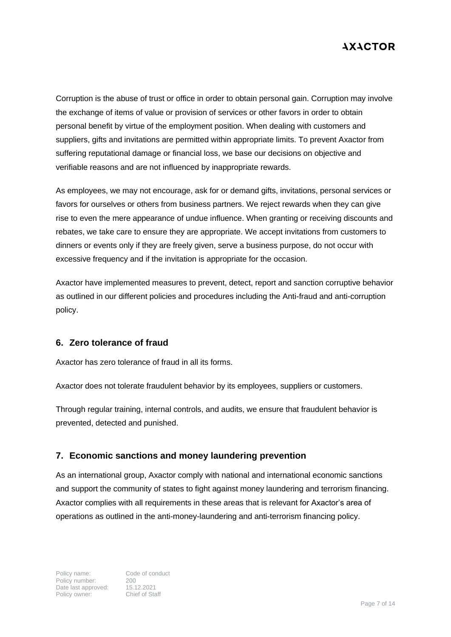Corruption is the abuse of trust or office in order to obtain personal gain. Corruption may involve the exchange of items of value or provision of services or other favors in order to obtain personal benefit by virtue of the employment position. When dealing with customers and suppliers, gifts and invitations are permitted within appropriate limits. To prevent Axactor from suffering reputational damage or financial loss, we base our decisions on objective and verifiable reasons and are not influenced by inappropriate rewards.

As employees, we may not encourage, ask for or demand gifts, invitations, personal services or favors for ourselves or others from business partners. We reject rewards when they can give rise to even the mere appearance of undue influence. When granting or receiving discounts and rebates, we take care to ensure they are appropriate. We accept invitations from customers to dinners or events only if they are freely given, serve a business purpose, do not occur with excessive frequency and if the invitation is appropriate for the occasion.

Axactor have implemented measures to prevent, detect, report and sanction corruptive behavior as outlined in our different policies and procedures including the Anti-fraud and anti-corruption policy.

#### <span id="page-6-0"></span>**6. Zero tolerance of fraud**

Axactor has zero tolerance of fraud in all its forms.

Axactor does not tolerate fraudulent behavior by its employees, suppliers or customers.

Through regular training, internal controls, and audits, we ensure that fraudulent behavior is prevented, detected and punished.

#### <span id="page-6-1"></span>**7. Economic sanctions and money laundering prevention**

As an international group, Axactor comply with national and international economic sanctions and support the community of states to fight against money laundering and terrorism financing. Axactor complies with all requirements in these areas that is relevant for Axactor's area of operations as outlined in the anti-money-laundering and anti-terrorism financing policy.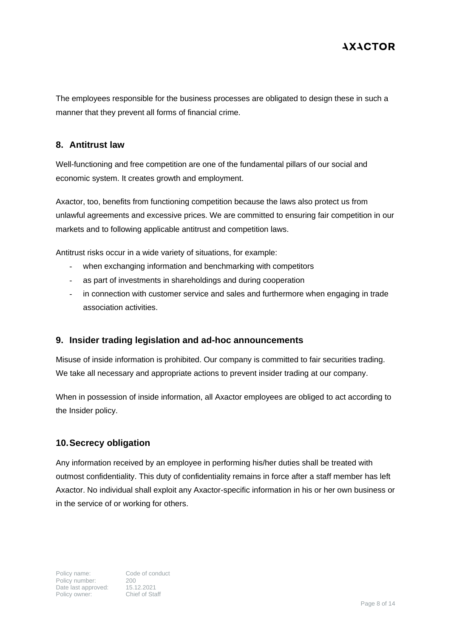The employees responsible for the business processes are obligated to design these in such a manner that they prevent all forms of financial crime.

#### <span id="page-7-0"></span>**8. Antitrust law**

Well-functioning and free competition are one of the fundamental pillars of our social and economic system. It creates growth and employment.

Axactor, too, benefits from functioning competition because the laws also protect us from unlawful agreements and excessive prices. We are committed to ensuring fair competition in our markets and to following applicable antitrust and competition laws.

Antitrust risks occur in a wide variety of situations, for example:

- when exchanging information and benchmarking with competitors
- as part of investments in shareholdings and during cooperation
- in connection with customer service and sales and furthermore when engaging in trade association activities.

#### <span id="page-7-1"></span>**9. Insider trading legislation and ad-hoc announcements**

Misuse of inside information is prohibited. Our company is committed to fair securities trading. We take all necessary and appropriate actions to prevent insider trading at our company.

When in possession of inside information, all Axactor employees are obliged to act according to the Insider policy.

#### <span id="page-7-2"></span>**10.Secrecy obligation**

Any information received by an employee in performing his/her duties shall be treated with outmost confidentiality. This duty of confidentiality remains in force after a staff member has left Axactor. No individual shall exploit any Axactor-specific information in his or her own business or in the service of or working for others.

Policy name: Code of conduct<br>
Policy number: 200<br>
Date last approved: 15.12.2021<br>
Policy owner: Chief of Staff Policy number: Date last approved: Policy owner: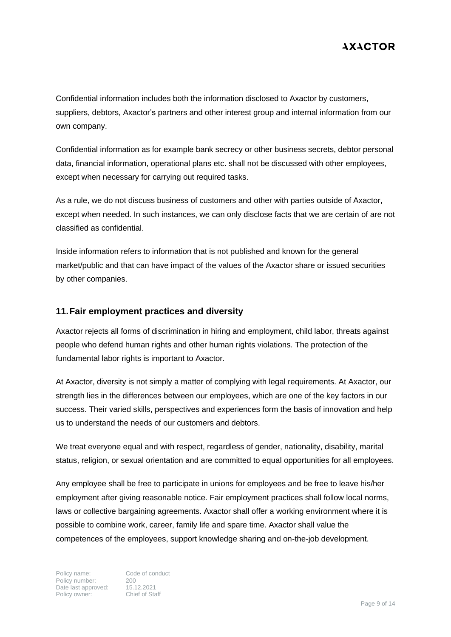Confidential information includes both the information disclosed to Axactor by customers, suppliers, debtors, Axactor's partners and other interest group and internal information from our own company.

Confidential information as for example bank secrecy or other business secrets, debtor personal data, financial information, operational plans etc. shall not be discussed with other employees, except when necessary for carrying out required tasks.

As a rule, we do not discuss business of customers and other with parties outside of Axactor, except when needed. In such instances, we can only disclose facts that we are certain of are not classified as confidential.

Inside information refers to information that is not published and known for the general market/public and that can have impact of the values of the Axactor share or issued securities by other companies.

#### <span id="page-8-0"></span>**11.Fair employment practices and diversity**

Axactor rejects all forms of discrimination in hiring and employment, child labor, threats against people who defend human rights and other human rights violations. The protection of the fundamental labor rights is important to Axactor.

At Axactor, diversity is not simply a matter of complying with legal requirements. At Axactor, our strength lies in the differences between our employees, which are one of the key factors in our success. Their varied skills, perspectives and experiences form the basis of innovation and help us to understand the needs of our customers and debtors.

We treat everyone equal and with respect, regardless of gender, nationality, disability, marital status, religion, or sexual orientation and are committed to equal opportunities for all employees.

Any employee shall be free to participate in unions for employees and be free to leave his/her employment after giving reasonable notice. Fair employment practices shall follow local norms, laws or collective bargaining agreements. Axactor shall offer a working environment where it is possible to combine work, career, family life and spare time. Axactor shall value the competences of the employees, support knowledge sharing and on-the-job development.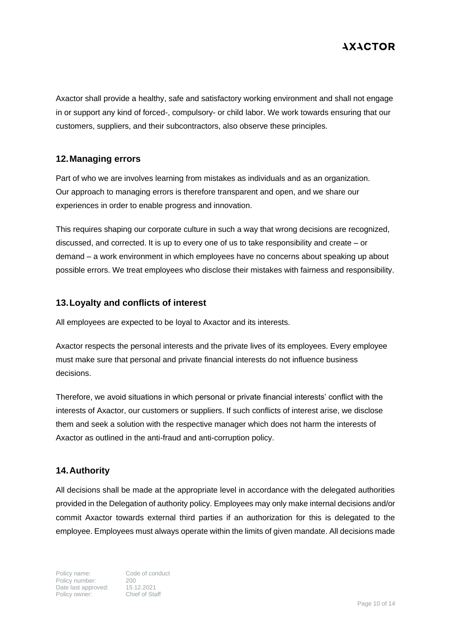Axactor shall provide a healthy, safe and satisfactory working environment and shall not engage in or support any kind of forced-, compulsory- or child labor. We work towards ensuring that our customers, suppliers, and their subcontractors, also observe these principles.

#### <span id="page-9-0"></span>**12.Managing errors**

Part of who we are involves learning from mistakes as individuals and as an organization. Our approach to managing errors is therefore transparent and open, and we share our experiences in order to enable progress and innovation.

This requires shaping our corporate culture in such a way that wrong decisions are recognized, discussed, and corrected. It is up to every one of us to take responsibility and create – or demand – a work environment in which employees have no concerns about speaking up about possible errors. We treat employees who disclose their mistakes with fairness and responsibility.

#### <span id="page-9-1"></span>**13.Loyalty and conflicts of interest**

All employees are expected to be loyal to Axactor and its interests.

Axactor respects the personal interests and the private lives of its employees. Every employee must make sure that personal and private financial interests do not influence business decisions.

Therefore, we avoid situations in which personal or private financial interests' conflict with the interests of Axactor, our customers or suppliers. If such conflicts of interest arise, we disclose them and seek a solution with the respective manager which does not harm the interests of Axactor as outlined in the anti-fraud and anti-corruption policy.

#### <span id="page-9-2"></span>**14.Authority**

All decisions shall be made at the appropriate level in accordance with the delegated authorities provided in the Delegation of authority policy. Employees may only make internal decisions and/or commit Axactor towards external third parties if an authorization for this is delegated to the employee. Employees must always operate within the limits of given mandate. All decisions made

Policy name:<br>
Policy number:<br>
200 Policy number: 200<br>Date last approved: 15.12.2021 Date last approved: 15.12.2021<br>Policy owner: Chief of Staff Policy owner: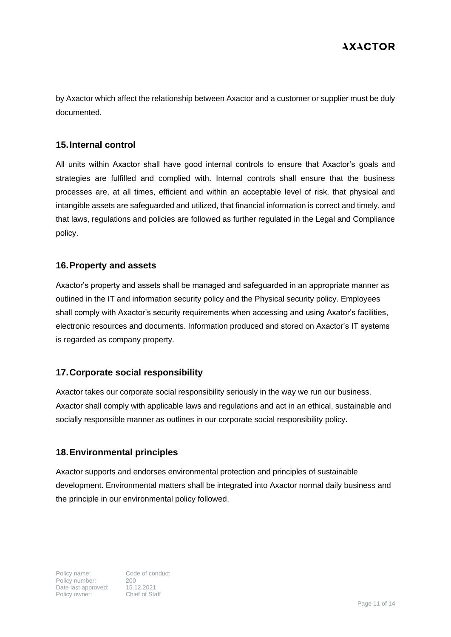by Axactor which affect the relationship between Axactor and a customer or supplier must be duly documented.

#### <span id="page-10-0"></span>**15.Internal control**

All units within Axactor shall have good internal controls to ensure that Axactor's goals and strategies are fulfilled and complied with. Internal controls shall ensure that the business processes are, at all times, efficient and within an acceptable level of risk, that physical and intangible assets are safeguarded and utilized, that financial information is correct and timely, and that laws, regulations and policies are followed as further regulated in the Legal and Compliance policy.

#### <span id="page-10-1"></span>**16.Property and assets**

Axactor's property and assets shall be managed and safeguarded in an appropriate manner as outlined in the IT and information security policy and the Physical security policy. Employees shall comply with Axactor's security requirements when accessing and using Axator's facilities, electronic resources and documents. Information produced and stored on Axactor's IT systems is regarded as company property.

#### <span id="page-10-2"></span>**17.Corporate social responsibility**

Axactor takes our corporate social responsibility seriously in the way we run our business. Axactor shall comply with applicable laws and regulations and act in an ethical, sustainable and socially responsible manner as outlines in our corporate social responsibility policy.

#### <span id="page-10-3"></span>**18.Environmental principles**

Axactor supports and endorses environmental protection and principles of sustainable development. Environmental matters shall be integrated into Axactor normal daily business and the principle in our environmental policy followed.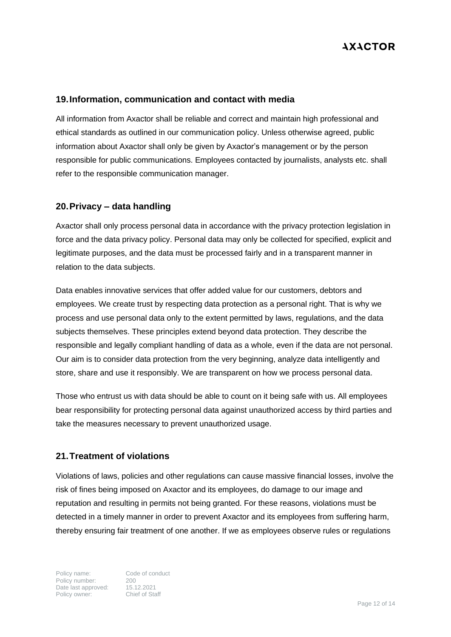#### <span id="page-11-0"></span>**19.Information, communication and contact with media**

All information from Axactor shall be reliable and correct and maintain high professional and ethical standards as outlined in our communication policy. Unless otherwise agreed, public information about Axactor shall only be given by Axactor's management or by the person responsible for public communications. Employees contacted by journalists, analysts etc. shall refer to the responsible communication manager.

#### <span id="page-11-1"></span>**20.Privacy – data handling**

Axactor shall only process personal data in accordance with the privacy protection legislation in force and the data privacy policy. Personal data may only be collected for specified, explicit and legitimate purposes, and the data must be processed fairly and in a transparent manner in relation to the data subjects.

Data enables innovative services that offer added value for our customers, debtors and employees. We create trust by respecting data protection as a personal right. That is why we process and use personal data only to the extent permitted by laws, regulations, and the data subjects themselves. These principles extend beyond data protection. They describe the responsible and legally compliant handling of data as a whole, even if the data are not personal. Our aim is to consider data protection from the very beginning, analyze data intelligently and store, share and use it responsibly. We are transparent on how we process personal data.

Those who entrust us with data should be able to count on it being safe with us. All employees bear responsibility for protecting personal data against unauthorized access by third parties and take the measures necessary to prevent unauthorized usage.

#### <span id="page-11-2"></span>**21.Treatment of violations**

Violations of laws, policies and other regulations can cause massive financial losses, involve the risk of fines being imposed on Axactor and its employees, do damage to our image and reputation and resulting in permits not being granted. For these reasons, violations must be detected in a timely manner in order to prevent Axactor and its employees from suffering harm, thereby ensuring fair treatment of one another. If we as employees observe rules or regulations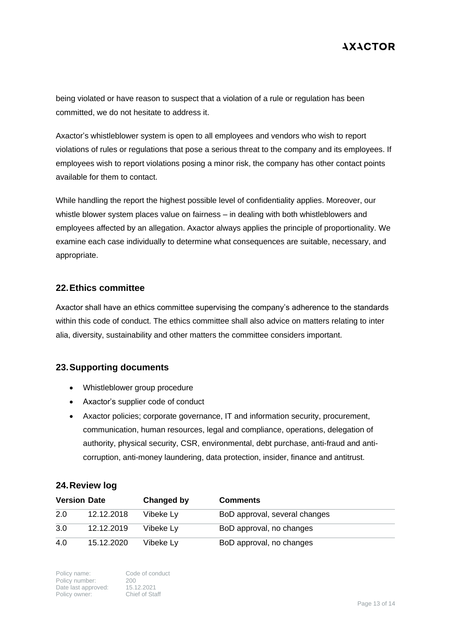being violated or have reason to suspect that a violation of a rule or regulation has been committed, we do not hesitate to address it.

Axactor's whistleblower system is open to all employees and vendors who wish to report violations of rules or regulations that pose a serious threat to the company and its employees. If employees wish to report violations posing a minor risk, the company has other contact points available for them to contact.

While handling the report the highest possible level of confidentiality applies. Moreover, our whistle blower system places value on fairness – in dealing with both whistleblowers and employees affected by an allegation. Axactor always applies the principle of proportionality. We examine each case individually to determine what consequences are suitable, necessary, and appropriate.

#### <span id="page-12-0"></span>**22.Ethics committee**

Axactor shall have an ethics committee supervising the company's adherence to the standards within this code of conduct. The ethics committee shall also advice on matters relating to inter alia, diversity, sustainability and other matters the committee considers important.

#### <span id="page-12-1"></span>**23.Supporting documents**

- Whistleblower group procedure
- Axactor's supplier code of conduct
- Axactor policies; corporate governance, IT and information security, procurement, communication, human resources, legal and compliance, operations, delegation of authority, physical security, CSR, environmental, debt purchase, anti-fraud and anticorruption, anti-money laundering, data protection, insider, finance and antitrust.

#### **24.Review log**

| <b>Version Date</b> |            | Changed by | <b>Comments</b>               |
|---------------------|------------|------------|-------------------------------|
| 2.0                 | 12.12.2018 | Vibeke Ly  | BoD approval, several changes |
| 3.0                 | 12.12.2019 | Vibeke Ly  | BoD approval, no changes      |
| 4.0                 | 15.12.2020 | Vibeke Ly  | BoD approval, no changes      |